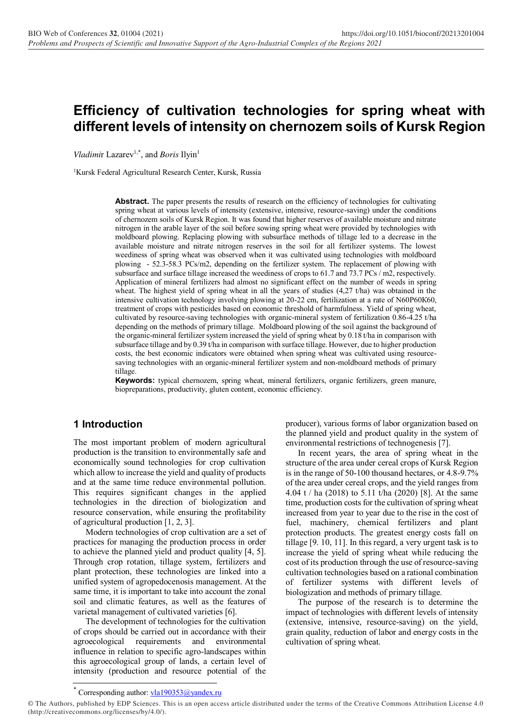# **Efficiency of cultivation technologies for spring wheat with different levels of intensity on chernozem soils of Kursk Region**

Vladimir Lazarev<sup>1,\*</sup>, and *Boris* Ilyin<sup>1</sup>

<sup>1</sup>Kursk Federal Agricultural Research Center, Kursk, Russia

Abstract. The paper presents the results of research on the efficiency of technologies for cultivating spring wheat at various levels of intensity (extensive, intensive, resource-saving) under the conditions of chernozem soils of Kursk Region. It was found that higher reserves of available moisture and nitrate nitrogen in the arable layer of the soil before sowing spring wheat were provided by technologies with moldboard plowing. Replacing plowing with subsurface methods of tillage led to a decrease in the available moisture and nitrate nitrogen reserves in the soil for all fertilizer systems. The lowest weediness of spring wheat was observed when it was cultivated using technologies with moldboard plowing - 52.3-58.3 PCs/m2, depending on the fertilizer system. The replacement of plowing with subsurface and surface tillage increased the weediness of crops to 61.7 and 73.7 PCs / m2, respectively. Application of mineral fertilizers had almost no significant effect on the number of weeds in spring wheat. The highest yield of spring wheat in all the years of studies (4,27 t/ha) was obtained in the intensive cultivation technology involving plowing at 20-22 cm, fertilization at a rate of N60Р60К60, treatment of crops with pesticides based on economic threshold of harmfulness. Yield of spring wheat, cultivated by resource-saving technologies with organic-mineral system of fertilization 0.86-4.25 t/ha depending on the methods of primary tillage. Moldboard plowing of the soil against the background of the organic-mineral fertilizer system increased the yield of spring wheat by 0.18 t/ha in comparison with subsurface tillage and by 0.39 t/ha in comparison with surface tillage. However, due to higher production costs, the best economic indicators were obtained when spring wheat was cultivated using resourcesaving technologies with an organic-mineral fertilizer system and non-moldboard methods of primary tillage.

**Keywords:** typical chernozem, spring wheat, mineral fertilizers, organic fertilizers, green manure, biopreparations, productivity, gluten content, economic efficiency.

#### **1 Introduction**

The most important problem of modern agricultural production is the transition to environmentally safe and economically sound technologies for crop cultivation which allow to increase the yield and quality of products and at the same time reduce environmental pollution. This requires significant changes in the applied technologies in the direction of biologization and resource conservation, while ensuring the profitability of agricultural production [1, 2, 3].

Modern technologies of crop cultivation are a set of practices for managing the production process in order to achieve the planned yield and product quality [4, 5]. Through crop rotation, tillage system, fertilizers and plant protection, these technologies are linked into a unified system of agropedocenosis management. At the same time, it is important to take into account the zonal soil and climatic features, as well as the features of varietal management of cultivated varieties [6].

The development of technologies for the cultivation of crops should be carried out in accordance with their agroecological requirements and environmental influence in relation to specific agro-landscapes within this agroecological group of lands, a certain level of intensity (production and resource potential of the producer), various forms of labor organization based on the planned yield and product quality in the system of environmental restrictions of technogenesis [7].

In recent years, the area of spring wheat in the structure of the area under cereal crops of Kursk Region is in the range of 50-100 thousand hectares, or 4.8-9.7% of the area under cereal crops, and the yield ranges from 4.04 t / ha (2018) to 5.11 t/ha (2020) [8]. At the same time, production costs for the cultivation of spring wheat increased from year to year due to the rise in the cost of fuel, machinery, chemical fertilizers and plant protection products. The greatest energy costs fall on tillage [9. 10, 11]. In this regard, a very urgent task is to increase the yield of spring wheat while reducing the cost of its production through the use of resource-saving cultivation technologies based on a rational combination of fertilizer systems with different levels biologization and methods of primary tillage.

The purpose of the research is to determine the impact of technologies with different levels of intensity (extensive, intensive, resource-saving) on the yield, grain quality, reduction of labor and energy costs in the cultivation of spring wheat.

<sup>\*</sup> Corresponding author: [vla190353@yandex.ru](mailto:vla190353@yandex.ru)

<sup>©</sup> The Authors, published by EDP Sciences. This is an open access article distributed under the terms of the Creative Commons Attribution License 4.0 (http://creativecommons.org/licenses/by/4.0/).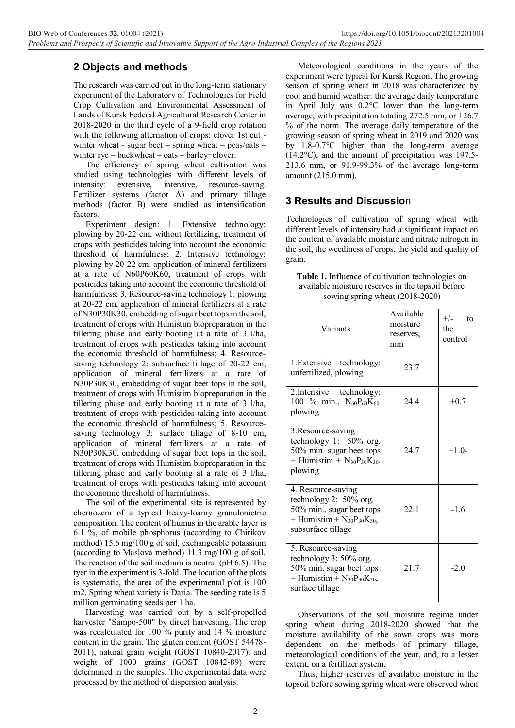# **2 Objects and methods**

The research was carried out in the long-term stationary experiment of the Laboratory of Technologies for Field Crop Cultivation and Environmental Assessment of Lands of Kursk Federal Agricultural Research Center in 2018-2020 in the third cycle of a 9-field crop rotation with the following alternation of crops: clover 1st cut winter wheat - sugar beet – spring wheat – peas/oats – winter rye – buckwheat – oats – barley+clover.

The efficiency of spring wheat cultivation was studied using technologies with different levels of intensity: extensive, intensive, resource-saving. Fertilizer systems (factor A) and primary tillage methods (factor B) were studied as intensification factors.

Experiment design: 1. Extensive technology: plowing by 20-22 cm, without fertilizing, treatment of crops with pesticides taking into account the economic threshold of harmfulness; 2. Intensive technology: plowing by 20-22 cm, application of mineral fertilizers at a rate of N60P60K60, treatment of crops with pesticides taking into account the economic threshold of harmfulness; 3. Resource-saving technology 1: plowing at 20-22 cm, application of mineral fertilizers at a rate of N30P30K30, embedding of sugar beet tops in the soil, treatment of crops with Humistim biopreparation in the tillering phase and early booting at a rate of 3 l/ha, treatment of crops with pesticides taking into account the economic threshold of harmfulness; 4. Resourcesaving technology 2: subsurface tillage of 20-22 cm, application of mineral fertilizers at a rate of N30P30K30, embedding of sugar beet tops in the soil, treatment of crops with Humistim biopreparation in the tillering phase and early booting at a rate of 3 l/ha, treatment of crops with pesticides taking into account the economic threshold of harmfulness; 5. Resourcesaving technology 3: surface tillage of 8-10 cm, application of mineral fertilizers at a rate of N30P30K30, embedding of sugar beet tops in the soil, treatment of crops with Humistim biopreparation in the tillering phase and early booting at a rate of 3 l/ha, treatment of crops with pesticides taking into account the economic threshold of harmfulness.

The soil of the experimental site is represented by chernozem of a typical heavy-loamy granulometric composition. The content of humus in the arable layer is 6.1 %, of mobile phosphorus (according to Chirikov method) 15.6 mg/100 g of soil, exchangeable potassium (according to Maslova method) 11.3 mg/100 g of soil. The reaction of the soil medium is neutral (pH 6.5). The tyer in the experiment is 3-fold. The location of the plots is systematic, the area of the experimental plot is 100 m2. Spring wheat variety is Daria. The seeding rate is 5 million germinating seeds per 1 ha.

Harvesting was carried out by a self-propelled harvester "Sampo-500" by direct harvesting. The crop was recalculated for 100 % purity and 14 % moisture content in the grain. The gluten content (GOST 54478- 2011), natural grain weight (GOST 10840-2017), and weight of 1000 grains (GOST 10842-89) were determined in the samples. The experimental data were processed by the method of dispersion analysis.

Meteorological conditions in the years of the experiment were typical for Kursk Region. The growing season of spring wheat in 2018 was characterized by cool and humid weather: the average daily temperature in April–July was 0.2°C lower than the long-term average, with precipitation totaling 272.5 mm, or 126.7 % of the norm. The average daily temperature of the growing season of spring wheat in 2019 and 2020 was by 1.8-0.7°C higher than the long-term average (14.2°C), and the amount of precipitation was 197.5- 213.6 mm, or 91.9-99.3% of the average long-term amount (215.0 mm).

## **3 Results and Discussio**n

Technologies of cultivation of spring wheat with different levels of intensity had a significant impact on the content of available moisture and nitrate nitrogen in the soil, the weediness of crops, the yield and quality of grain.

| <b>Table 1.</b> Influence of cultivation technologies on |
|----------------------------------------------------------|
| available moisture reserves in the topsoil before        |
| sowing spring wheat (2018-2020)                          |

| Variants                                                                                                                                  | Available<br>moisture<br>reserves,<br>mm | $+/-$<br>to<br>the<br>control |
|-------------------------------------------------------------------------------------------------------------------------------------------|------------------------------------------|-------------------------------|
| 1. Extensive technology:<br>unfertilized, plowing                                                                                         | 23.7                                     |                               |
| 2. Intensive technology:<br>100 % min., $N_{60}P_{60}K_{60}$<br>plowing                                                                   | 24.4                                     | $+0.7$                        |
| 3. Resource-saving<br>technology 1: $50\%$ org.<br>50% min. sugar beet tops<br>+ Humistim + $N_{30}P_{30}K_{30}$ ,<br>plowing             | 24.7                                     | $+1$ 0-                       |
| 4. Resource-saving<br>technology 2: $50\%$ org.<br>50% min., sugar beet tops<br>+ Humistim + $N_{30}P_{30}K_{30}$ ,<br>subsurface tillage | 22.1                                     | $-1.6$                        |
| 5. Resource-saving<br>technology $3:50\%$ org.<br>50% min. sugar beet tops<br>+ Humistim + $N_{30}P_{30}K_{30}$ ,<br>surface tillage      | 21.7                                     | $-2.0$                        |

Observations of the soil moisture regime under spring wheat during 2018-2020 showed that the moisture availability of the sown crops was more dependent on the methods of primary tillage, meteorological conditions of the year, and, to a lesser extent, on a fertilizer system.

Thus, higher reserves of available moisture in the topsoil before sowing spring wheat were observed when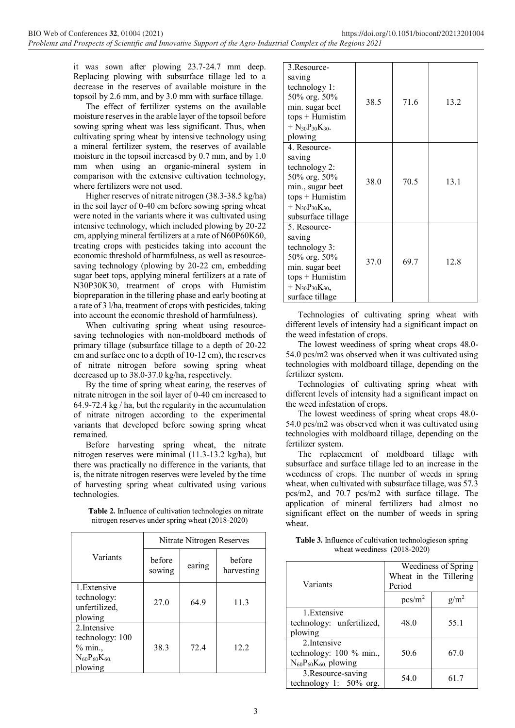it was sown after plowing 23.7-24.7 mm deep. Replacing plowing with subsurface tillage led to a decrease in the reserves of available moisture in the topsoil by 2.6 mm, and by 3.0 mm with surface tillage.

The effect of fertilizer systems on the available moisture reserves in the arable layer of the topsoil before sowing spring wheat was less significant. Thus, when cultivating spring wheat by intensive technology using a mineral fertilizer system, the reserves of available moisture in the topsoil increased by 0.7 mm, and by 1.0 mm when using an organic-mineral system in comparison with the extensive cultivation technology, where fertilizers were not used.

Higher reserves of nitrate nitrogen (38.3-38.5 kg/ha) in the soil layer of 0-40 cm before sowing spring wheat were noted in the variants where it was cultivated using intensive technology, which included plowing by 20-22 cm, applying mineral fertilizers at a rate of N60P60K60, treating crops with pesticides taking into account the economic threshold of harmfulness, as well as resourcesaving technology (plowing by 20-22 cm, embedding sugar beet tops, applying mineral fertilizers at a rate of N30P30K30, treatment of crops with Humistim biopreparation in the tillering phase and early booting at a rate of 3 l/ha, treatment of crops with pesticides, taking into account the economic threshold of harmfulness).

When cultivating spring wheat using resourcesaving technologies with non-moldboard methods of primary tillage (subsurface tillage to a depth of 20-22 cm and surface one to a depth of 10-12 cm), the reserves of nitrate nitrogen before sowing spring wheat decreased up to 38.0-37.0 kg/ha, respectively.

By the time of spring wheat earing, the reserves of nitrate nitrogen in the soil layer of 0-40 cm increased to 64.9-72.4 kg / ha, but the regularity in the accumulation of nitrate nitrogen according to the experimental variants that developed before sowing spring wheat remained.

Before harvesting spring wheat, the nitrate nitrogen reserves were minimal (11.3-13.2 kg/ha), but there was practically no difference in the variants, that is, the nitrate nitrogen reserves were leveled by the time of harvesting spring wheat cultivated using various technologies.

| <b>Table 2.</b> Influence of cultivation technologies on nitrate |
|------------------------------------------------------------------|
| nitrogen reserves under spring wheat (2018-2020)                 |

|                                                                              |                  | Nitrate Nitrogen Reserves |                      |
|------------------------------------------------------------------------------|------------------|---------------------------|----------------------|
| Variants                                                                     | before<br>sowing | earing                    | before<br>harvesting |
| 1. Extensive<br>technology:<br>unfertilized,<br>plowing                      | 27.0             | 64.9                      | 11.3                 |
| 2. Intensive<br>technology: 100<br>% min.<br>$N_{60}P_{60}K_{60}$<br>plowing | 38.3             | 72.4                      | 12.2                 |

| 3.Resource-<br>saving<br>technology 1:<br>50% org. 50%<br>min. sugar beet<br>$tops + Humistim$<br>$+ N_{30}P_{30}K_{30}.$                                                       | 38.5 | 71.6 | 13.2 |
|---------------------------------------------------------------------------------------------------------------------------------------------------------------------------------|------|------|------|
| plowing                                                                                                                                                                         |      |      |      |
| 4. Resource-<br>saving<br>technology 2:<br>50% org. 50%<br>min., sugar beet<br>$tops + Humistim$<br>$+$ N <sub>30</sub> P <sub>30</sub> K <sub>30</sub> ,<br>subsurface tillage | 38.0 | 70.5 | 13.1 |
| 5. Resource-<br>saving<br>technology 3:<br>50% org. 50%<br>min. sugar beet<br>$tops + Humistim$<br>$+$ N <sub>30</sub> P <sub>30</sub> K <sub>30</sub> ,<br>surface tillage     | 37.0 | 69.7 | 12.8 |

Technologies of cultivating spring wheat with different levels of intensity had a significant impact on the weed infestation of crops.

The lowest weediness of spring wheat crops 48.0- 54.0 pcs/m2 was observed when it was cultivated using technologies with moldboard tillage, depending on the fertilizer system.

Technologies of cultivating spring wheat with different levels of intensity had a significant impact on the weed infestation of crops.

The lowest weediness of spring wheat crops 48.0- 54.0 pcs/m2 was observed when it was cultivated using technologies with moldboard tillage, depending on the fertilizer system.

The replacement of moldboard tillage with subsurface and surface tillage led to an increase in the weediness of crops. The number of weeds in spring wheat, when cultivated with subsurface tillage, was 57.3 pcs/m2, and 70.7 pcs/m2 with surface tillage. The application of mineral fertilizers had almost no significant effect on the number of weeds in spring wheat.

| Table 3. Influence of cultivation technologieson spring |  |
|---------------------------------------------------------|--|
| wheat weediness $(2018-2020)$                           |  |

| Variants                                                                | Period             | Weediness of Spring<br>Wheat in the Tillering |
|-------------------------------------------------------------------------|--------------------|-----------------------------------------------|
|                                                                         | pcs/m <sup>2</sup> | g/m <sup>2</sup>                              |
| 1. Extensive<br>technology: unfertilized,<br>plowing                    | 48.0               | 55.1                                          |
| 2. Intensive<br>technology: 100 % min.,<br>$N_{60}P_{60}K_{60}$ plowing | 50.6               | 67.0                                          |
| 3. Resource-saving<br>technology 1: $50\%$ org.                         | 54.0               | 61.7                                          |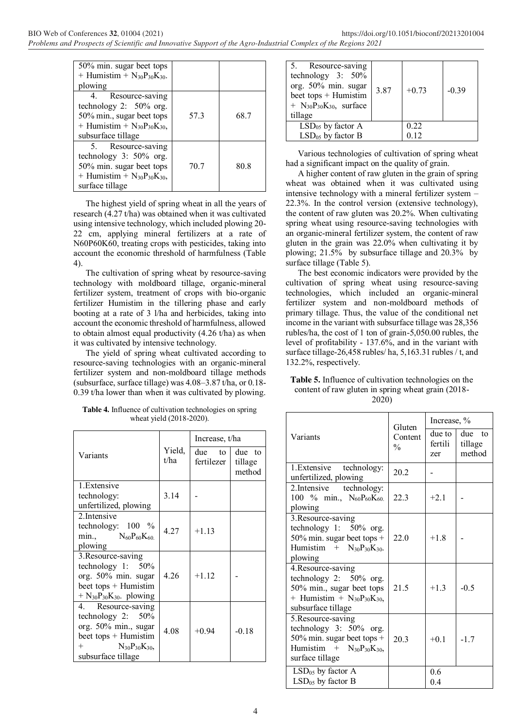| 50% min. sugar beet tops            |      |      |
|-------------------------------------|------|------|
| + Humistim + $N_{30}P_{30}K_{30}$ . |      |      |
| plowing                             |      |      |
| Resource-saving<br>4.               |      |      |
| technology 2: $50\%$ org.           |      |      |
| 50% min., sugar beet tops           | 57.3 | 68.7 |
| + Humistim + $N_{30}P_{30}K_{30}$ , |      |      |
| subsurface tillage                  |      |      |
| 5. Resource-saving                  |      |      |
| technology $3:50\%$ org.            |      |      |
| 50% min. sugar beet tops            | 70.7 | 80.8 |
| + Humistim + $N_{30}P_{30}K_{30}$ , |      |      |
| surface tillage                     |      |      |

The highest yield of spring wheat in all the years of research (4.27 t/ha) was obtained when it was cultivated using intensive technology, which included plowing 20- 22 cm, applying mineral fertilizers at a rate of N60P60K60, treating crops with pesticides, taking into account the economic threshold of harmfulness (Table 4).

The cultivation of spring wheat by resource-saving technology with moldboard tillage, organic-mineral fertilizer system, treatment of crops with bio-organic fertilizer Humistim in the tillering phase and early booting at a rate of 3 l/ha and herbicides, taking into account the economic threshold of harmfulness, allowed to obtain almost equal productivity (4.26 t/ha) as when it was cultivated by intensive technology.

The yield of spring wheat cultivated according to resource-saving technologies with an organic-mineral fertilizer system and non-moldboard tillage methods (subsurface, surface tillage) was 4.08–3.87 t/ha, or 0.18- 0.39 t/ha lower than when it was cultivated by plowing.

**Table 4.** Influence of cultivation technologies on spring wheat yield (2018-2020).

|                                                               |                | Increase, t/ha       |                             |
|---------------------------------------------------------------|----------------|----------------------|-----------------------------|
| Variants                                                      | Yield,<br>t/ha | due to<br>fertilezer | due to<br>tillage<br>method |
| 1. Extensive<br>technology:                                   | 3.14           |                      |                             |
| unfertilized, plowing                                         |                |                      |                             |
| 2 Intensive                                                   |                |                      |                             |
| technology: $100\%$                                           | 4.27           | $+1.13$              |                             |
| $\min_{\lambda} \qquad N_{60}P_{60}K_{60}$<br>plowing         |                |                      |                             |
| 3. Resource-saving                                            |                |                      |                             |
| technology 1: $50\%$                                          |                |                      |                             |
| org. 50% min. sugar                                           | 4.26           | $+1.12$              |                             |
| beet tops + Humistim                                          |                |                      |                             |
| $+$ N <sub>30</sub> P <sub>30</sub> K <sub>30</sub> . plowing |                |                      |                             |
| 4. Resource-saving<br>technology 2: $50\%$                    |                |                      |                             |
| org. 50% min., sugar                                          |                |                      |                             |
| beet tops + Humistim                                          | 4.08           | $+0.94$              | $-0.18$                     |
| $^{+}$<br>$N_{30}P_{30}K_{30}$                                |                |                      |                             |
| subsurface tillage                                            |                |                      |                             |

| Resource-saving<br>5.<br>technology $3:50\%$<br>org. 50% min. sugar<br>beet tops $+$ Humistim<br>+ $N_{30}P_{30}K_{30}$ , surface<br>tillage | 3.87 | $+0.73$ | $-0.39$ |
|----------------------------------------------------------------------------------------------------------------------------------------------|------|---------|---------|
| $LSD05$ by factor A                                                                                                                          |      | 0.22    |         |
| $LSD05$ by factor B                                                                                                                          |      | 0 12    |         |

Various technologies of cultivation of spring wheat had a significant impact on the quality of grain.

A higher content of raw gluten in the grain of spring wheat was obtained when it was cultivated using intensive technology with a mineral fertilizer system – 22.3%. In the control version (extensive technology), the content of raw gluten was 20.2%. When cultivating spring wheat using resource-saving technologies with an organic-mineral fertilizer system, the content of raw gluten in the grain was 22.0% when cultivating it by plowing; 21.5% by subsurface tillage and 20.3% by surface tillage (Table 5).

The best economic indicators were provided by the cultivation of spring wheat using resource-saving technologies, which included an organic-mineral fertilizer system and non-moldboard methods of primary tillage. Thus, the value of the conditional net income in the variant with subsurface tillage was 28,356 rubles/ha, the cost of 1 ton of grain-5,050.00 rubles, the level of profitability - 137.6%, and in the variant with surface tillage-26,458 rubles/ ha, 5,163.31 rubles / t, and 132.2%, respectively.

**Table 5.** Influence of cultivation technologies on the content of raw gluten in spring wheat grain (2018- 2020)

|                                                                                                                                           | Gluten                   | Increase, %              |                             |
|-------------------------------------------------------------------------------------------------------------------------------------------|--------------------------|--------------------------|-----------------------------|
| Variants                                                                                                                                  | Content<br>$\frac{0}{0}$ | due to<br>fertili<br>zer | due to<br>tillage<br>method |
| 1. Extensive technology:<br>unfertilized, plowing                                                                                         | 20.2                     |                          |                             |
| 2. Intensive<br>technology:<br>100 % min., $N_{60}P_{60}K_{60}$<br>plowing                                                                | 223                      | $+21$                    |                             |
| 3. Resource-saving<br>technology 1: $50\%$ org.<br>50% min. sugar beet tops $+$<br>Humistim + $N_{30}P_{30}K_{30}$ .<br>plowing           | 22.0                     | $+18$                    |                             |
| 4. Resource-saving<br>technology 2: $50\%$ org.<br>50% min., sugar beet tops<br>+ Humistim + $N_{30}P_{30}K_{30}$ ,<br>subsurface tillage | 21.5                     | $+13$                    | $-0.5$                      |
| 5. Resource-saving<br>technology $3:50\%$ org.<br>50% min. sugar beet tops $+$<br>Humistim + $N_{30}P_{30}K_{30}$ ,<br>surface tillage    | 20 <sup>3</sup>          | $+0.1$                   | $-1.7$                      |
| $LSD05$ by factor A<br>$LSD05$ by factor B                                                                                                |                          | 0.6<br>04                |                             |